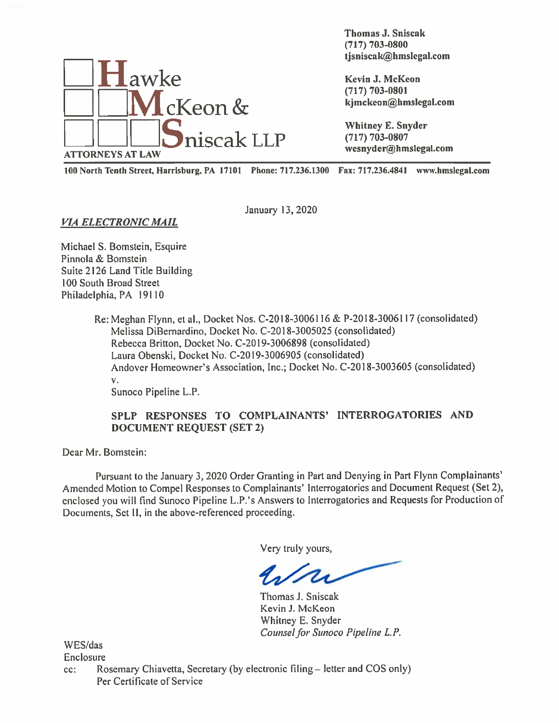

Thomas J. Sniscak (717) 703-0800 thomas J. Sniscak<br>
(717) 703-0800<br>
tjsniscak@hmslegal.com<br>
(717) 703-0800

<sup>100</sup> North Tenth Street, Harrisburg, PA <sup>17101</sup> Phone: 717.236.1300 Fax: 717.236.4841 www.hmsIegnl.com

VIA ELECTRONIC MAIL

January' 13, 2020

Michael S. Bomstein. Esquire Pinnola & Bomstein Suite 2126 Land Title Building 100 South Broad Street Philadelphia. PA 19110

> Re: Meghan Flynn. et al., Docket Nos. C-201 8-3006116 & P-201 8-3006117 (consolidated) Melissa DiBernardino, Docket No. C-2018-3005025 (consolidated) Rebecca Britton, Docket No. C-2019-3006898 (consolidated) Laura Obenski. Docket No. C-20 19-3006905 (consolidated) Andover Homeowner's Association, Inc.; Docket No. C-20 18-3003605 (consolidated) V.

Sunoco Pipeline L.P.

## SPLP RESPONSES TO COMPLAINANTS' INTERROGATORIES AND DOCUMENT REQUEST (SET 2)

Dear Mr. Bomstein:

Pursuant to the January 3, 2020 Order Granting in Part and Denying in Part Flynn Complainants' Amended Motion to Compel Responses to Complainants' Interrogatories and Document Request (Set 2), enclosed you will find Sunoco Pipeline L.P.'s Answers to Interrogatories and Requests for Production of Documents, Set 11, in the above-referenced proceeding.

Very truly yours,

Thomas J. Sniscak Kevin J. McKeon Whitney E. Snyder Counsel for Sunoco Pipeline L.P.

WES/das Enclosure

cc: Rosemary Chiavetta, Secretary (by electronic filing = letter and COS only) Per Certificate of Service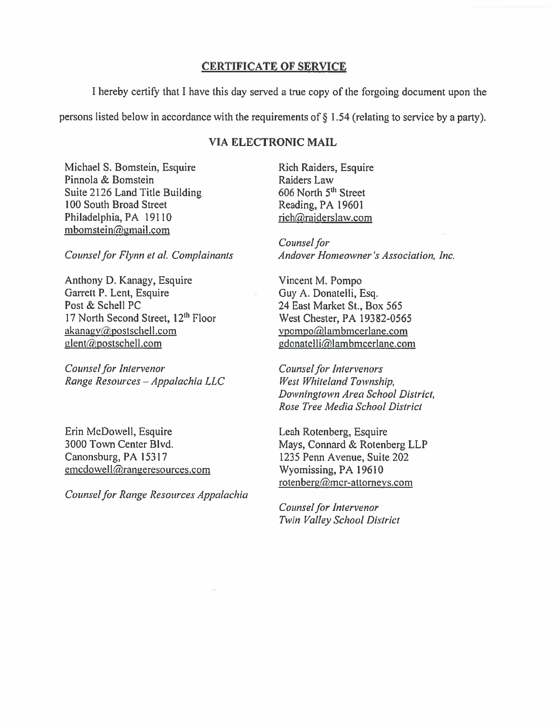## CERTIFICATE OF SERVICE

<sup>I</sup> hereby certify that <sup>I</sup> have this day served <sup>a</sup> true copy of the forgoing document upon the

persons listed below in accordance with the requirements of  $\S$  1.54 (relating to service by a party).

## VIA ELECTRONIC MAIL

Michael S. Bomstein, Esquire Rich Raiders, Esquire Pinnola & Bomstein Raiders Law Suite 2126 Land Title Building 606 North 5<sup>th</sup> Street 100 South Broad Street Reading, PA 19601 Philadelphia, PA 19110 rich@raiderslaw.com  $mbomstein@gmail.com$ 

Anthony D. Kanagy, Esquire Vincent M. Pompo Garrett P. Lent, Esquire Guy A. Donatelli, Esq. Post & Schell PC 24 East Market St., Box 565 17 North Second Street, 12<sup>th</sup> Floor West Chester, PA 19382-0565  $akanay@postschell.com$  vpompo $@$ lambmcerlane.com  $glent(a)$ postschell.com gdonatelli $a$ lambmcerlane.com

Counsel for Intervenor Counsel for Intervenors Range Resources — Appalachia LLC West Whiteland Township,

Erin McDowell, Esquire Leah Rotenberg, Esquire Canonsburg, PA 15317 1235 Penn Avenue, Suite 202 emcdowell@rangeresources.com Wyomissing, PA 19610

Counsel for Range Resources Appalachia

Counsel for Counsel for Flynn et al. Complainants Andover Homeowner's Association, Inc.

Downingtown Area School District, Rose Tree Media School District

3000 Town Center Blvd. Mays, Connard & Rotenberg LLP rotenberg@mcr-attorneys.com

> Counsel for Intervenor Twin Valley School District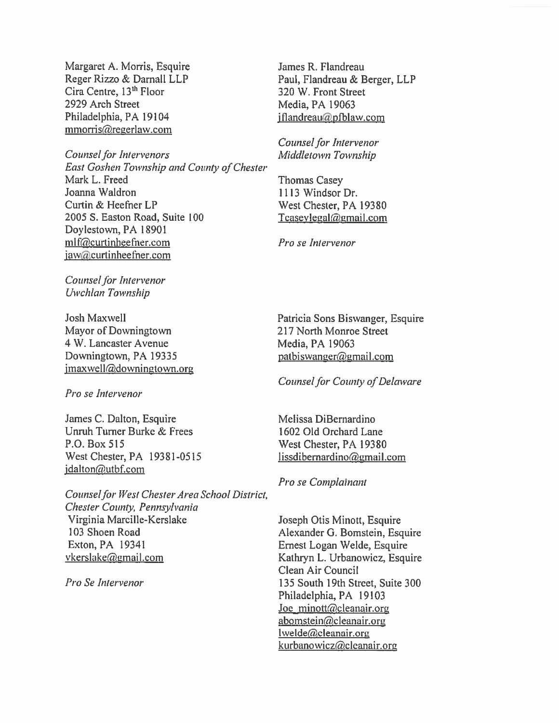Margaret A. Morris, Esquire Reger Rizzo & Darnall LLP Cira Centre, 13<sup>th</sup> Floor 2929 Arch Street Philadelphia, PA 19104 mmorris@regerlaw.com

Counsel for Intervenors East Goshen Township and County of Chester Mark L. Freed Joanna Waldron Curtin & Heefner LP 2005 S. Easron Road, Suite 100 Doylestown, PA 18901 mlf@curtinheefner.com iaw@curtinheefner.com

Counsel for Intervenor Uwchlan Township

Josh Maxwell Mayor of Downingtown 4 W. Lancaster Avenue Downingtown, PA 19335 jmaxwell@downingtown.org

Pro se Intervenor

James C. Dalton, Esquire Unruh Turner Burke & Frees P.O. Box 515 West Chester, PA 19381-0515 jdalton@utbf.com

Counsel for West Chester Area School District, Chester County, Pennsylvania Virginia Marcille-Kerslake 103 Shoen Road Exton, PA 19341 vkerslake@gmail.com

Pro Se Intervenor

James R. Flandreau Paul, Flandreau & Berger, LLP 320 W. Front Street Media, PA 19063 jflandreau@pfblaw.com

Counsel for Intervenor Middletown Township

Thomas Casey 1113 Windsor Dr. West Chester, PA 19380 Tcasevlegal@gmail.com

Pro se Intervenor

Patricia Sons Biswanger, Esquire 217 North Monroe Street Media, PA 19063 patbiswanger@gmail.com

Counsel for County of Delaware

Melissa DiBernardino 1602 Old Orchard Lane \Vest Chester, PA 19380  $lissdibernardino@gmail.com$ 

Pro se Complainant

Joseph Otis Minott, Esquire Alexander G. Bomstein, Esquire Ernest Logan Welde, Esquire Kathryn L. Urbanowicz, Esquire Clean Air Council 135 South 19th Street, Suite 300 Philadelphia, PA 19103 Joe minott@cleanair.org abomstein@cleanair.org lwelde@cleanair.org kurbanowicz@cleanair.org